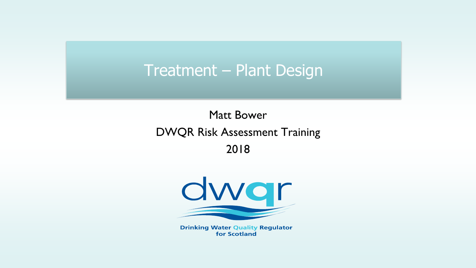### Treatment – Plant Design

### Matt Bower DWQR Risk Assessment Training 2018



**Drinking Water Quality Regulator** for Scotland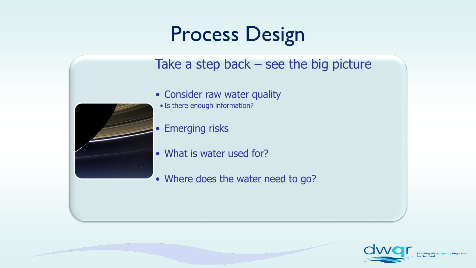## Process Design

### Take a step back – see the big picture

- Consider raw water quality
- Is there enough information?

• Emerging risks

- What is water used for?
- Where does the water need to go?





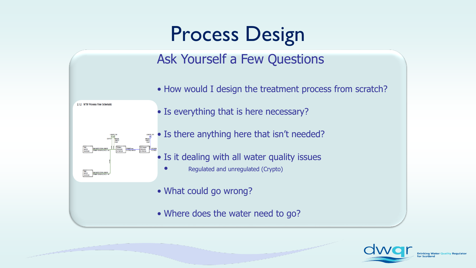## Process Design

### Ask Yourself a Few Questions

- How would I design the treatment process from scratch?
- Is everything that is here necessary?
- Is there anything here that isn't needed? LISMORE OPS
	- Is it dealing with all water quality issues
		- Regulated and unregulated (Crypto)
	- What could go wrong?

2.1.2 WTW Process Flow Schemati

RAW<br>WATER PAWWATER FROM LISACRE<br>SOURCING PRIMARY BOREHOLE NO 2

RAW<br>WATER RAWWATER FROM LISMON<br>SOURCING PRIMARY BORDHOLE NO.3

SECONDARY SECOND

• Where does the water need to go?

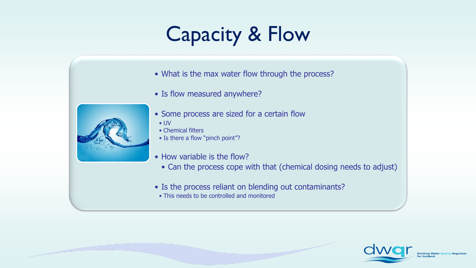## Capacity & Flow

- What is the max water flow through the process?
- Is flow measured anywhere?



- Some process are sized for a certain flow
	- UV
- Chemical filters
- Is there a flow "pinch point"?
- How variable is the flow?
	- Can the process cope with that (chemical dosing needs to adjust)
- Is the process reliant on blending out contaminants?
	- This needs to be controlled and monitored

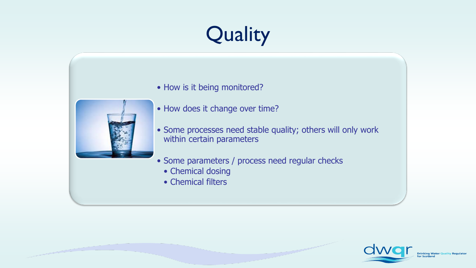# Quality

• How is it being monitored?



- How does it change over time?
- Some processes need stable quality; others will only work within certain parameters
- Some parameters / process need regular checks
	- Chemical dosing
	- Chemical filters

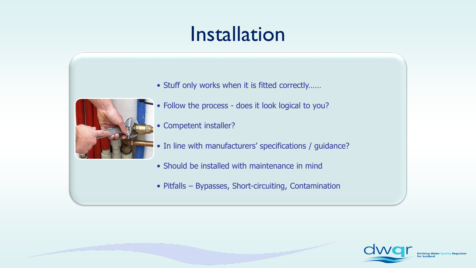## Installation

• Stuff only works when it is fitted correctly……



- Follow the process does it look logical to you?
- Competent installer?
- In line with manufacturers' specifications / guidance?
- Should be installed with maintenance in mind
- Pitfalls Bypasses, Short-circuiting, Contamination

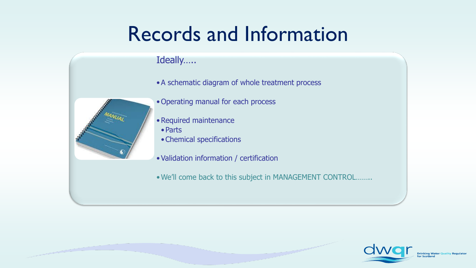### Records and Information

#### Ideally…..

•A schematic diagram of whole treatment process



- Operating manual for each process
- •Required maintenance
- Parts
- •Chemical specifications
- •Validation information / certification
- •We'll come back to this subject in MANAGEMENT CONTROL……..

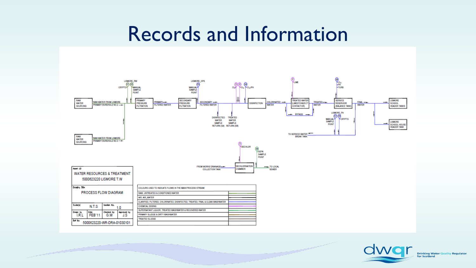### Records and Information



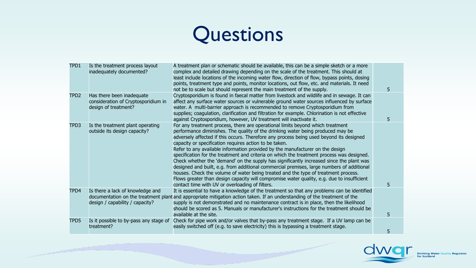### Questions

| TPD1             | Is the treatment process layout<br>inadequately documented?                              | A treatment plan or schematic should be available, this can be a simple sketch or a more<br>complex and detailed drawing depending on the scale of the treatment. This should at<br>least include locations of the incoming water flow, direction of flow, bypass points, dosing<br>points, treatment type and points, monitor locations, out flow, etc. and materials. It need<br>not be to scale but should represent the main treatment of the supply.                                                                                                                                                                                                                                                                                                                                                                                                                                                                            |    |
|------------------|------------------------------------------------------------------------------------------|--------------------------------------------------------------------------------------------------------------------------------------------------------------------------------------------------------------------------------------------------------------------------------------------------------------------------------------------------------------------------------------------------------------------------------------------------------------------------------------------------------------------------------------------------------------------------------------------------------------------------------------------------------------------------------------------------------------------------------------------------------------------------------------------------------------------------------------------------------------------------------------------------------------------------------------|----|
| TPD <sub>2</sub> | Has there been inadequate<br>consideration of Cryptosporidium in<br>design of treatment? | Cryptosporidium is found in faecal matter from livestock and wildlife and in sewage. It can<br>affect any surface water sources or vulnerable ground water sources influenced by surface<br>water. A multi-barrier approach is recommended to remove Cryptosporidium from<br>supplies; coagulation, clarification and filtration for example. Chlorination is not effective<br>against Cryptosporidium, however, UV treatment will inactivate it.                                                                                                                                                                                                                                                                                                                                                                                                                                                                                    |    |
| TPD3             | Is the treatment plant operating<br>outside its design capacity?                         | For any treatment process, there are operational limits beyond which treatment<br>performance diminishes. The quality of the drinking water being produced may be<br>adversely affected if this occurs. Therefore any process being used beyond its designed<br>capacity or specification requires action to be taken.<br>Refer to any available information provided by the manufacturer on the design<br>specification for the treatment and criteria on which the treatment process was designed.<br>Check whether the 'demand' on the supply has significantly increased since the plant was<br>designed and built, e.g. from additional commercial premises, large numbers of additional<br>houses. Check the volume of water being treated and the type of treatment process.<br>Flows greater than design capacity will compromise water quality, e.g. due to insufficient<br>contact time with UV or overloading of filters. | 5. |
| TPD4             | Is there a lack of knowledge and<br>design / capability / capacity?                      | It is essential to have a knowledge of the treatment so that any problems can be identified<br>documentation on the treatment plant and appropriate mitigation action taken. If an understanding of the treatment of the<br>supply is not demonstrated and no maintenance contract is in place, then the likelihood<br>should be scored as 5. Manuals or manufacturer's instructions for the treatment should be<br>available at the site.                                                                                                                                                                                                                                                                                                                                                                                                                                                                                           | 5. |
| TPD5             | Is it possible to by-pass any stage of<br>treatment?                                     | Check for pipe work and/or valves that by-pass any treatment stage. If a UV lamp can be<br>easily switched off (e.g. to save electricity) this is bypassing a treatment stage.                                                                                                                                                                                                                                                                                                                                                                                                                                                                                                                                                                                                                                                                                                                                                       | 5  |

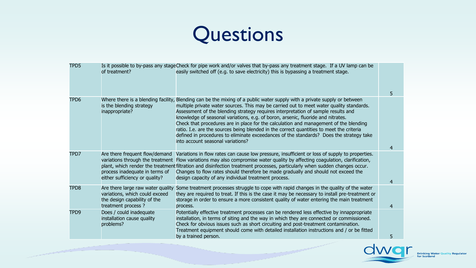### Questions

| TPD5             | of treatment?                                                                                                                          | Is it possible to by-pass any stageCheck for pipe work and/or valves that by-pass any treatment stage. If a UV lamp can be<br>easily switched off (e.g. to save electricity) this is bypassing a treatment stage.                                                                                                                                                                                                                                                                                                                                                                                                                                                              | 5. |
|------------------|----------------------------------------------------------------------------------------------------------------------------------------|--------------------------------------------------------------------------------------------------------------------------------------------------------------------------------------------------------------------------------------------------------------------------------------------------------------------------------------------------------------------------------------------------------------------------------------------------------------------------------------------------------------------------------------------------------------------------------------------------------------------------------------------------------------------------------|----|
| TPD6             | Where there is a blending facility,<br>is the blending strategy<br>inappropriate?                                                      | Blending can be the mixing of a public water supply with a private supply or between<br>multiple private water sources. This may be carried out to meet water quality standards.<br>Assessment of the blending strategy requires interpretation of sample results and<br>knowledge of seasonal variations, e.g. of boron, arsenic, fluoride and nitrates.<br>Check that procedures are in place for the calculation and management of the blending<br>ratio. I.e. are the sources being blended in the correct quantities to meet the criteria<br>defined in procedures to eliminate exceedances of the standards? Does the strategy take<br>into account seasonal variations? | 4  |
| TPD7             | Are there frequent flow/demand<br>variations through the treatment<br>process inadequate in terms of<br>either sufficiency or quality? | Variations in flow rates can cause low pressure, insufficient or loss of supply to properties.<br>Flow variations may also compromise water quality by affecting coagulation, clarification,<br>plant, which render the treatment filtration and disinfection treatment processes, particularly when sudden changes occur.<br>Changes to flow rates should therefore be made gradually and should not exceed the<br>design capacity of any individual treatment process.                                                                                                                                                                                                       | 4  |
| TPD8             | Are there large raw water quality<br>variations, which could exceed<br>the design capability of the<br>treatment process ?             | Some treatment processes struggle to cope with rapid changes in the quality of the water<br>they are required to treat. If this is the case it may be necessary to install pre-treatment or<br>storage in order to ensure a more consistent quality of water entering the main treatment<br>process.                                                                                                                                                                                                                                                                                                                                                                           | 4  |
| TPD <sub>9</sub> | Does / could inadequate<br>installation cause quality<br>problems?                                                                     | Potentially effective treatment processes can be rendered less effective by innappropriate<br>installation, in terms of siting and the way in which they are connected or commissioned.<br>Check for obvious issues such as short circuiting and post-treatment contamination.<br>Treatment equipment should come with detailed installation instructions and / or be fitted<br>by a trained person.                                                                                                                                                                                                                                                                           | 5  |

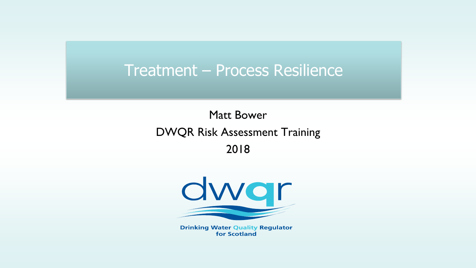### Matt Bower DWQR Risk Assessment Training 2018



**Drinking Water Quality Regulator** for Scotland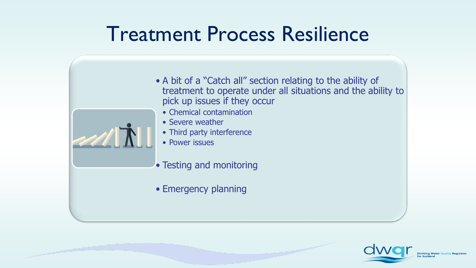

- Chemical contamination
- Severe weather
- Third party interference
- Power issues
- Testing and monitoring
- Emergency planning

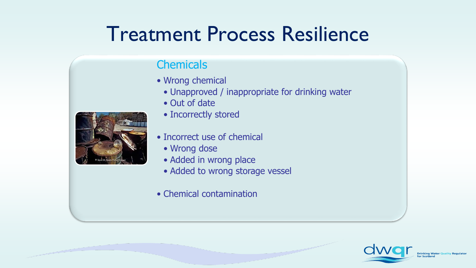#### **Chemicals**

- Wrong chemical
	- Unapproved / inappropriate for drinking water
	- Out of date



- - Incorrect use of chemical
		- Wrong dose
		- Added in wrong place
		- Added to wrong storage vessel
	- Chemical contamination

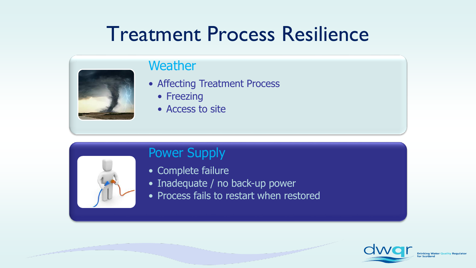

#### **Weather**

- Affecting Treatment Process
	- Freezing
	- Access to site



#### Power Supply

- Complete failure
- Inadequate / no back-up power
- Process fails to restart when restored

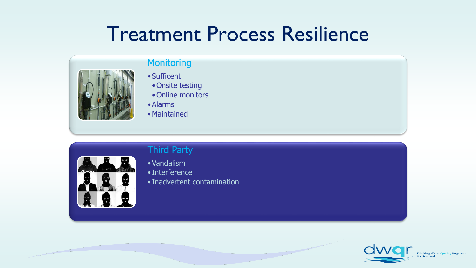

#### **Monitoring**

- Sufficent
- Onsite testing
- Online monitors
- •Alarms
- •Maintained

#### Third Party



#### •Vandalism

- Interference
- Inadvertent contamination

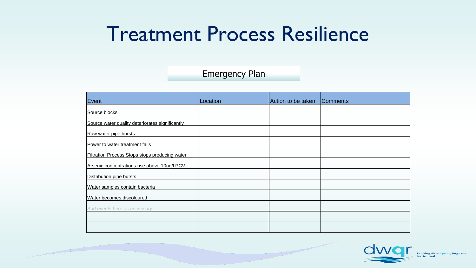#### Emergency Plan

| Event                                           | Location | Action to be taken | <b>Comments</b> |
|-------------------------------------------------|----------|--------------------|-----------------|
| Source blocks                                   |          |                    |                 |
| Source water quality deteriorates significantly |          |                    |                 |
| Raw water pipe bursts                           |          |                    |                 |
| Power to water treatment fails                  |          |                    |                 |
| Filtration Process Stops stops producing water  |          |                    |                 |
| Arsenic concentrations rise above 10ug/l PCV    |          |                    |                 |
| Distribution pipe bursts                        |          |                    |                 |
| Water samples contain bacteria                  |          |                    |                 |
| Water becomes discoloured                       |          |                    |                 |
| Add events here as necessary                    |          |                    |                 |
|                                                 |          |                    |                 |
|                                                 |          |                    |                 |

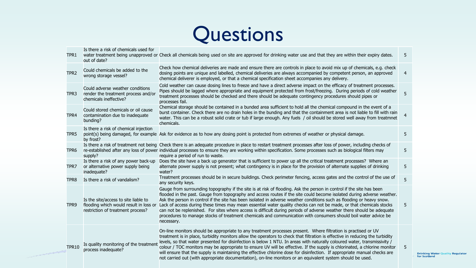

Is there a risk of chemicals used for

| TPR1             | out of date?                                                                                                        | water treatment being unapproved or Check all chemicals being used on site are approved for drinking water use and that they are within their expiry dates.                                                                                                                                                                                                                                                                                                                                                                                                                                                                                                                                                                                               | 5              |
|------------------|---------------------------------------------------------------------------------------------------------------------|-----------------------------------------------------------------------------------------------------------------------------------------------------------------------------------------------------------------------------------------------------------------------------------------------------------------------------------------------------------------------------------------------------------------------------------------------------------------------------------------------------------------------------------------------------------------------------------------------------------------------------------------------------------------------------------------------------------------------------------------------------------|----------------|
| TPR <sub>2</sub> | Could chemicals be added to the<br>wrong storage vessel?                                                            | Check how chemical deliveries are made and ensure there are controls in place to avoid mix up of chemicals, e.g. check<br>dosing points are unique and labelled, chemical deliveries are always accompanied by competent person, an approved<br>chemical deliverer is employed, or that a chemical specification sheet accompanies any delivery.                                                                                                                                                                                                                                                                                                                                                                                                          | 4              |
| TPR <sub>3</sub> | Could adverse weather conditions<br>render the treatment process and/or<br>chemicals ineffective?                   | Cold weather can cause dosing lines to freeze and have a direct adverse impact on the efficacy of treatment processes.<br>Pipes should be lagged where appropriate and equipment protected from frost/freezing. During periods of cold weather<br>treatment processes should be checked and there should be adequate contingency procedures should pipes or<br>processes fail.                                                                                                                                                                                                                                                                                                                                                                            | 5              |
| TPR4             | Could stored chemicals or oil cause<br>contamination due to inadequate<br>bunding?                                  | Chemical storage should be contained in a bunded area sufficient to hold all the chemical compound in the event of a<br>burst container. Check there are no drain holes in the bunding and that the containment area is not liable to fill with rain<br>water. This can be a robust solid crate or tub if large enough. Any fuels / oil should be stored well away from treatmnet<br>chemicals.                                                                                                                                                                                                                                                                                                                                                           | $\overline{4}$ |
| TPR5             | Is there a risk of chemical injection<br>by frost?                                                                  | point(s) being damaged, for example Ask for evidence as to how any dosing point is protected from extremes of weather or physical damage.                                                                                                                                                                                                                                                                                                                                                                                                                                                                                                                                                                                                                 | 5              |
| TPR6             | supply?                                                                                                             | Is there a risk of treatment not being Check there is an adequate procedure in place to restart treatment processes after loss of power, including checks of<br>re-established after any loss of power individual processes to ensure they are working within specification. Some processes such as biological filters may<br>require a period of run to waste.                                                                                                                                                                                                                                                                                                                                                                                           | 5.             |
| TPR7             | Is there a risk of any power back-up<br>or alternative power supply being<br>inadequate?                            | Does the site have a back up generator that is sufficient to power up all the critical treatment processes? Where an<br>alternate power supply is not present; what contingency is in place for the provision of alternate supplies of drinking<br>water?                                                                                                                                                                                                                                                                                                                                                                                                                                                                                                 | 5              |
| TPR8             | Is there a risk of vandalism?                                                                                       | Treatment processes should be in secure buildings. Check perimeter fencing, access gates and the control of the use of<br>any security keys.                                                                                                                                                                                                                                                                                                                                                                                                                                                                                                                                                                                                              | 5              |
| TPR <sub>9</sub> | Is the site/access to site liable to<br>flooding which would result in loss or<br>restriction of treatment process? | Gauge from surrounding topography if the site is at risk of flooding. Ask the person in control if the site has been<br>flooded in the past. Gauge from topography and access routes if the site could become isolated during adverse weather.<br>Ask the person in control if the site has been isolated in adverse weather conditions such as flooding or heavy snow.<br>Lack of access during these times may mean essential water quality checks can not be made, or that chemicals stocks<br>can not be replenished. For sites where access is difficult during periods of adverse weather there should be adequate<br>procedures to manage stocks of treatment chemicals and communication with consumers should boil water advice be<br>necessary. | 5              |
| <b>TPR10</b>     | Is quality monitoring of the treatment<br>process inadequate?                                                       | On-line monitors should be appropriate to any treatment processes present. Where filtration is practised or UV<br>treatment is in place, turbidity monitors allow the operators to check that filtration is effective in reducing the turbidity<br>levels, so that water presented for disinfection is below 1 NTU. In areas with naturally coloured water, transmissivity /<br>colour / TOC monitors may be appropriate to ensure UV will be effective. If the supply is chlorinated, a chlorine monitor<br>will ensure that the supply is maintaining the effective chlorine dose for disinfection. If appropriate manual checks are<br>not carried out (with appropriate documentation), on-line monitors or an equivalent system should be used.      | 5              |